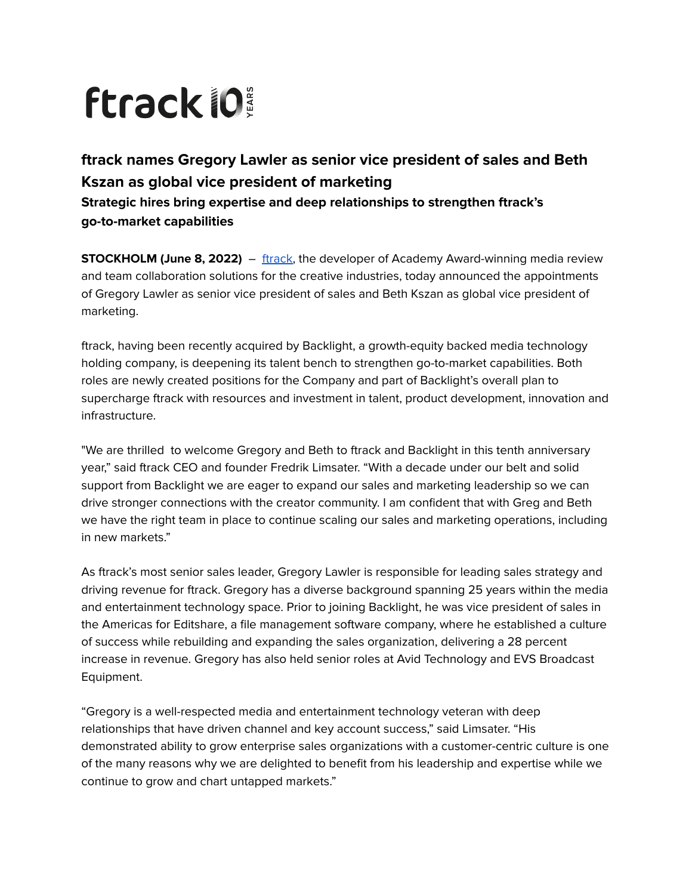## **ftrack lo**

## **ftrack names Gregory Lawler as senior vice president of sales and Beth Kszan as global vice president of marketing Strategic hires bring expertise and deep relationships to strengthen ftrack's go-to-market capabilities**

**STOCKHOLM (June 8, 2022)** – [ftrack](https://www.ftrack.com/en), the developer of Academy Award-winning media review and team collaboration solutions for the creative industries, today announced the appointments of Gregory Lawler as senior vice president of sales and Beth Kszan as global vice president of marketing.

ftrack, having been recently acquired by Backlight, a growth-equity backed media technology holding company, is deepening its talent bench to strengthen go-to-market capabilities. Both roles are newly created positions for the Company and part of Backlight's overall plan to supercharge ftrack with resources and investment in talent, product development, innovation and infrastructure.

"We are thrilled to welcome Gregory and Beth to ftrack and Backlight in this tenth anniversary year," said ftrack CEO and founder Fredrik Limsater. "With a decade under our belt and solid support from Backlight we are eager to expand our sales and marketing leadership so we can drive stronger connections with the creator community. I am confident that with Greg and Beth we have the right team in place to continue scaling our sales and marketing operations, including in new markets."

As ftrack's most senior sales leader, Gregory Lawler is responsible for leading sales strategy and driving revenue for ftrack. Gregory has a diverse background spanning 25 years within the media and entertainment technology space. Prior to joining Backlight, he was vice president of sales in the Americas for Editshare, a file management software company, where he established a culture of success while rebuilding and expanding the sales organization, delivering a 28 percent increase in revenue. Gregory has also held senior roles at Avid Technology and EVS Broadcast Equipment.

"Gregory is a well-respected media and entertainment technology veteran with deep relationships that have driven channel and key account success," said Limsater. "His demonstrated ability to grow enterprise sales organizations with a customer-centric culture is one of the many reasons why we are delighted to benefit from his leadership and expertise while we continue to grow and chart untapped markets."